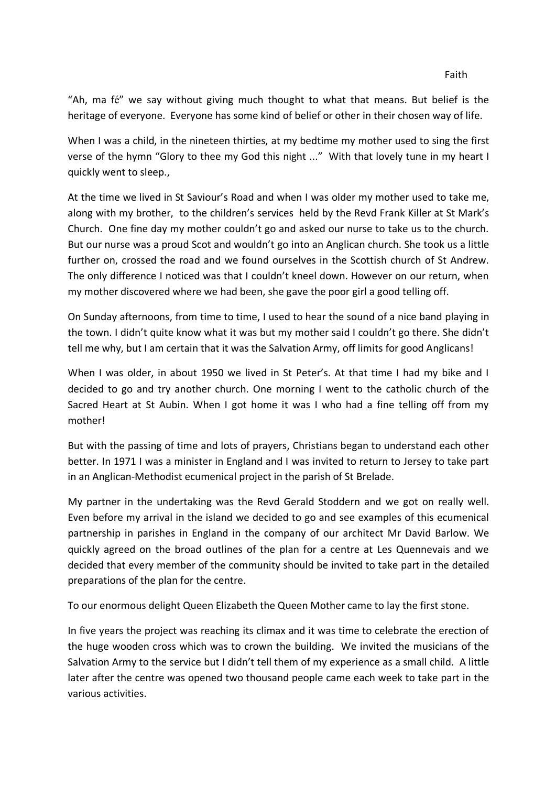"Ah, ma fé" we say without giving much thought to what that means. But belief is the heritage of everyone. Everyone has some kind of belief or other in their chosen way of life.

When I was a child, in the nineteen thirties, at my bedtime my mother used to sing the first verse of the hymn "Glory to thee my God this night ..." With that lovely tune in my heart I quickly went to sleep.,

At the time we lived in St Saviour's Road and when I was older my mother used to take me, along with my brother, to the children's services held by the Revd Frank Killer at St Mark's Church. One fine day my mother couldn't go and asked our nurse to take us to the church. But our nurse was a proud Scot and wouldn't go into an Anglican church. She took us a little further on, crossed the road and we found ourselves in the Scottish church of St Andrew. The only difference I noticed was that I couldn't kneel down. However on our return, when my mother discovered where we had been, she gave the poor girl a good telling off.

On Sunday afternoons, from time to time, I used to hear the sound of a nice band playing in the town. I didn't quite know what it was but my mother said I couldn't go there. She didn't tell me why, but I am certain that it was the Salvation Army, off limits for good Anglicans!

When I was older, in about 1950 we lived in St Peter's. At that time I had my bike and I decided to go and try another church. One morning I went to the catholic church of the Sacred Heart at St Aubin. When I got home it was I who had a fine telling off from my mother!

But with the passing of time and lots of prayers, Christians began to understand each other better. In 1971 I was a minister in England and I was invited to return to Jersey to take part in an Anglican-Methodist ecumenical project in the parish of St Brelade.

My partner in the undertaking was the Revd Gerald Stoddern and we got on really well. Even before my arrival in the island we decided to go and see examples of this ecumenical partnership in parishes in England in the company of our architect Mr David Barlow. We quickly agreed on the broad outlines of the plan for a centre at Les Quennevais and we decided that every member of the community should be invited to take part in the detailed preparations of the plan for the centre.

To our enormous delight Queen Elizabeth the Queen Mother came to lay the first stone.

In five years the project was reaching its climax and it was time to celebrate the erection of the huge wooden cross which was to crown the building. We invited the musicians of the Salvation Army to the service but I didn't tell them of my experience as a small child. A little later after the centre was opened two thousand people came each week to take part in the various activities.